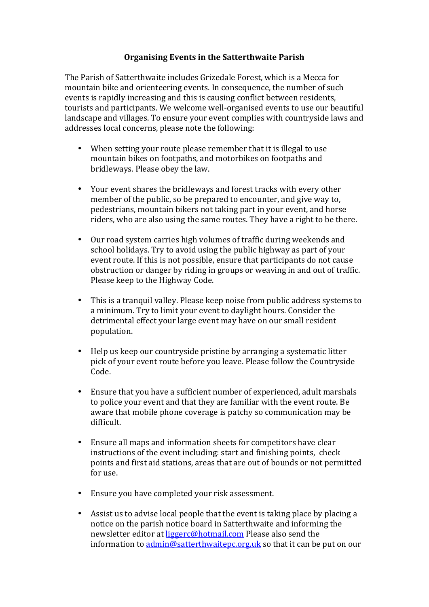## **Organising Events in the Satterthwaite Parish**

The Parish of Satterthwaite includes Grizedale Forest, which is a Mecca for mountain bike and orienteering events. In consequence, the number of such events is rapidly increasing and this is causing conflict between residents, tourists and participants. We welcome well-organised events to use our beautiful landscape and villages. To ensure your event complies with countryside laws and addresses local concerns, please note the following:

- When setting your route please remember that it is illegal to use mountain bikes on footpaths, and motorbikes on footpaths and bridleways. Please obey the law.
- Your event shares the bridleways and forest tracks with every other member of the public, so be prepared to encounter, and give way to, pedestrians, mountain bikers not taking part in your event, and horse riders, who are also using the same routes. They have a right to be there.
- Our road system carries high volumes of traffic during weekends and school holidays. Try to avoid using the public highway as part of your event route. If this is not possible, ensure that participants do not cause obstruction or danger by riding in groups or weaving in and out of traffic. Please keep to the Highway Code.
- This is a tranquil valley. Please keep noise from public address systems to a minimum. Try to limit your event to daylight hours. Consider the detrimental effect your large event may have on our small resident population.
- Help us keep our countryside pristine by arranging a systematic litter pick of your event route before you leave. Please follow the Countryside Code.
- Ensure that you have a sufficient number of experienced, adult marshals to police your event and that they are familiar with the event route. Be aware that mobile phone coverage is patchy so communication may be difficult.
- Ensure all maps and information sheets for competitors have clear instructions of the event including: start and finishing points, check points and first aid stations, areas that are out of bounds or not permitted for use.
- Ensure you have completed your risk assessment.
- Assist us to advise local people that the event is taking place by placing a notice on the parish notice board in Satterthwaite and informing the newsletter editor at liggerc@hotmail.com Please also send the information to  $\frac{\text{admin@satterthwaitepc.org.uk}}{\text{c.org.uk}}$  so that it can be put on our